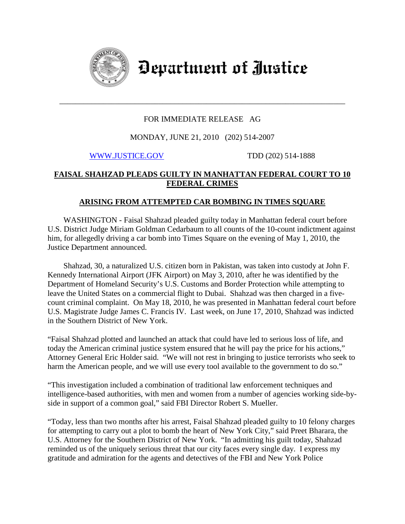

Department of Justice

## FOR IMMEDIATE RELEASE AG

\_\_\_\_\_\_\_\_\_\_\_\_\_\_\_\_\_\_\_\_\_\_\_\_\_\_\_\_\_\_\_\_\_\_\_\_\_\_\_\_\_\_\_\_\_\_\_\_\_\_\_\_\_\_\_\_\_\_\_\_\_\_\_\_\_\_\_\_\_\_\_\_

### MONDAY, JUNE 21, 2010 (202) 514-2007

[WWW.JUSTICE.GOV](http://www.justice.gov/) TDD (202) 514-1888

# **FAISAL SHAHZAD PLEADS GUILTY IN MANHATTAN FEDERAL COURT TO 10 FEDERAL CRIMES**

## **ARISING FROM ATTEMPTED CAR BOMBING IN TIMES SQUARE**

 WASHINGTON - Faisal Shahzad pleaded guilty today in Manhattan federal court before U.S. District Judge Miriam Goldman Cedarbaum to all counts of the 10-count indictment against him, for allegedly driving a car bomb into Times Square on the evening of May 1, 2010, the Justice Department announced.

 Shahzad, 30, a naturalized U.S. citizen born in Pakistan, was taken into custody at John F. Kennedy International Airport (JFK Airport) on May 3, 2010, after he was identified by the Department of Homeland Security's U.S. Customs and Border Protection while attempting to leave the United States on a commercial flight to Dubai. Shahzad was then charged in a fivecount criminal complaint. On May 18, 2010, he was presented in Manhattan federal court before U.S. Magistrate Judge James C. Francis IV. Last week, on June 17, 2010, Shahzad was indicted in the Southern District of New York.

"Faisal Shahzad plotted and launched an attack that could have led to serious loss of life, and today the American criminal justice system ensured that he will pay the price for his actions," Attorney General Eric Holder said. "We will not rest in bringing to justice terrorists who seek to harm the American people, and we will use every tool available to the government to do so."

"This investigation included a combination of traditional law enforcement techniques and intelligence-based authorities, with men and women from a number of agencies working side-byside in support of a common goal," said FBI Director Robert S. Mueller.

"Today, less than two months after his arrest, Faisal Shahzad pleaded guilty to 10 felony charges for attempting to carry out a plot to bomb the heart of New York City," said Preet Bharara, the U.S. Attorney for the Southern District of New York. "In admitting his guilt today, Shahzad reminded us of the uniquely serious threat that our city faces every single day. I express my gratitude and admiration for the agents and detectives of the FBI and New York Police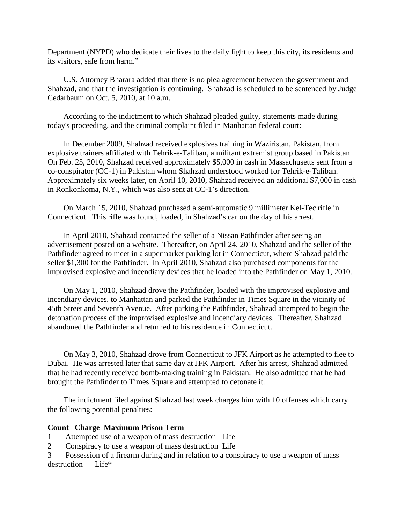Department (NYPD) who dedicate their lives to the daily fight to keep this city, its residents and its visitors, safe from harm."

 U.S. Attorney Bharara added that there is no plea agreement between the government and Shahzad, and that the investigation is continuing. Shahzad is scheduled to be sentenced by Judge Cedarbaum on Oct. 5, 2010, at 10 a.m.

 According to the indictment to which Shahzad pleaded guilty, statements made during today's proceeding, and the criminal complaint filed in Manhattan federal court:

 In December 2009, Shahzad received explosives training in Waziristan, Pakistan, from explosive trainers affiliated with Tehrik-e-Taliban, a militant extremist group based in Pakistan. On Feb. 25, 2010, Shahzad received approximately \$5,000 in cash in Massachusetts sent from a co-conspirator (CC-1) in Pakistan whom Shahzad understood worked for Tehrik-e-Taliban. Approximately six weeks later, on April 10, 2010, Shahzad received an additional \$7,000 in cash in Ronkonkoma, N.Y., which was also sent at CC-1's direction.

 On March 15, 2010, Shahzad purchased a semi-automatic 9 millimeter Kel-Tec rifle in Connecticut. This rifle was found, loaded, in Shahzad's car on the day of his arrest.

 In April 2010, Shahzad contacted the seller of a Nissan Pathfinder after seeing an advertisement posted on a website. Thereafter, on April 24, 2010, Shahzad and the seller of the Pathfinder agreed to meet in a supermarket parking lot in Connecticut, where Shahzad paid the seller \$1,300 for the Pathfinder. In April 2010, Shahzad also purchased components for the improvised explosive and incendiary devices that he loaded into the Pathfinder on May 1, 2010.

 On May 1, 2010, Shahzad drove the Pathfinder, loaded with the improvised explosive and incendiary devices, to Manhattan and parked the Pathfinder in Times Square in the vicinity of 45th Street and Seventh Avenue. After parking the Pathfinder, Shahzad attempted to begin the detonation process of the improvised explosive and incendiary devices. Thereafter, Shahzad abandoned the Pathfinder and returned to his residence in Connecticut.

 On May 3, 2010, Shahzad drove from Connecticut to JFK Airport as he attempted to flee to Dubai. He was arrested later that same day at JFK Airport. After his arrest, Shahzad admitted that he had recently received bomb-making training in Pakistan. He also admitted that he had brought the Pathfinder to Times Square and attempted to detonate it.

 The indictment filed against Shahzad last week charges him with 10 offenses which carry the following potential penalties:

### **Count Charge Maximum Prison Term**

1 Attempted use of a weapon of mass destruction Life

2 Conspiracy to use a weapon of mass destruction Life

3 Possession of a firearm during and in relation to a conspiracy to use a weapon of mass destruction Life\*